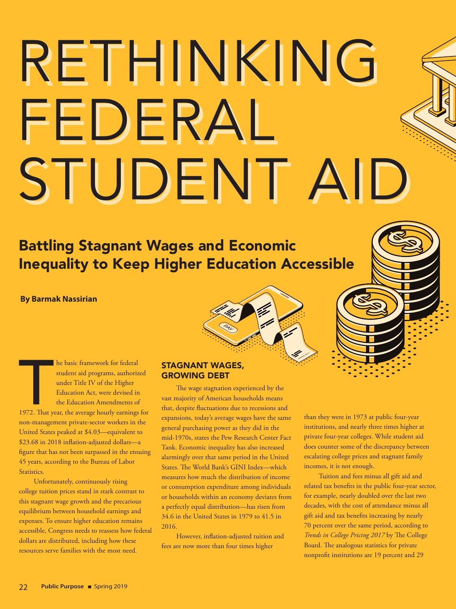# RETHINKING RETHINKING FEDERAL FEDERAL STUDENT AID STUDENT AID

## Battling Stagnant Wages and Economic Inequality to Keep Higher Education Accessible

#### **By Barmak Nassirian**

**1972.** That year, the average hourly earnings for the Higher Education Act, were devised in the Education Amendments of 1972. That year, the average hourly earnings for he basic framework for federal student aid programs, authorized under Title IV of the Higher Education Act, were devised in the Education Amendments of non-management private-sector workers in the United States peaked at \$4.03—equivalent to \$23.68 in 2018 inflation-adjusted dollars—a figure that has not been surpassed in the ensuing 45 years, according to the Bureau of Labor Statistics.

Unfortunately, continuously rising college tuition prices stand in stark contrast to this stagnant wage growth and the precarious equilibrium between household earnings and expenses. To ensure higher education remains accessible, Congress needs to reassess how federal dollars are distributed, including how these resources serve families with the most need.

#### STAGNANT WAGES, GROWING DEBT

The wage stagnation experienced by the vast majority of American households means that, despite fluctuations due to recessions and expansions, today's average wages have the same general purchasing power as they did in the mid-1970s, states the Pew Research Center Fact Tank. Economic inequality has also increased alarmingly over that same period in the United States. The World Bank's GINI Index—which measures how much the distribution of income or consumption expenditure among individuals or households within an economy deviates from a perfectly equal distribution—has risen from 34.6 in the United States in 1979 to 41.5 in 2016.

However, inflation-adjusted tuition and fees are now more than four times higher

than they were in 1973 at public four-year institutions, and nearly three times higher at private four-year colleges. While student aid does counter some of the discrepancy between escalating college prices and stagnant family incomes, it is not enough.

Tuition and fees minus all gift aid and related tax benefits in the public four-year sector, for example, nearly doubled over the last two decades, with the cost of attendance minus all gift aid and tax benefits increasing by nearly 70 percent over the same period, according to *Trends in College Pricing 2017* by The College Board. The analogous statistics for private nonprofit institutions are 19 percent and 29